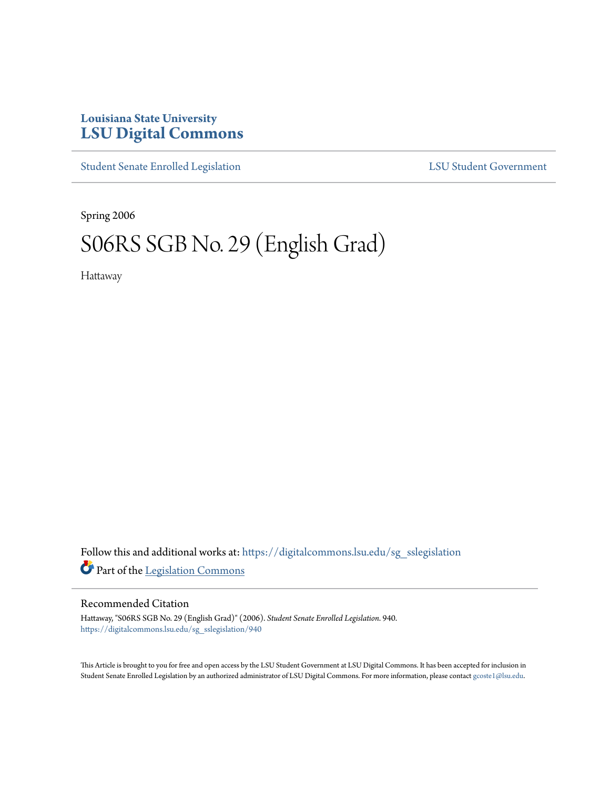## **Louisiana State University [LSU Digital Commons](https://digitalcommons.lsu.edu?utm_source=digitalcommons.lsu.edu%2Fsg_sslegislation%2F940&utm_medium=PDF&utm_campaign=PDFCoverPages)**

[Student Senate Enrolled Legislation](https://digitalcommons.lsu.edu/sg_sslegislation?utm_source=digitalcommons.lsu.edu%2Fsg_sslegislation%2F940&utm_medium=PDF&utm_campaign=PDFCoverPages) [LSU Student Government](https://digitalcommons.lsu.edu/sg?utm_source=digitalcommons.lsu.edu%2Fsg_sslegislation%2F940&utm_medium=PDF&utm_campaign=PDFCoverPages)

Spring 2006

# S06RS SGB No. 29 (English Grad)

Hattaway

Follow this and additional works at: [https://digitalcommons.lsu.edu/sg\\_sslegislation](https://digitalcommons.lsu.edu/sg_sslegislation?utm_source=digitalcommons.lsu.edu%2Fsg_sslegislation%2F940&utm_medium=PDF&utm_campaign=PDFCoverPages) Part of the [Legislation Commons](http://network.bepress.com/hgg/discipline/859?utm_source=digitalcommons.lsu.edu%2Fsg_sslegislation%2F940&utm_medium=PDF&utm_campaign=PDFCoverPages)

#### Recommended Citation

Hattaway, "S06RS SGB No. 29 (English Grad)" (2006). *Student Senate Enrolled Legislation*. 940. [https://digitalcommons.lsu.edu/sg\\_sslegislation/940](https://digitalcommons.lsu.edu/sg_sslegislation/940?utm_source=digitalcommons.lsu.edu%2Fsg_sslegislation%2F940&utm_medium=PDF&utm_campaign=PDFCoverPages)

This Article is brought to you for free and open access by the LSU Student Government at LSU Digital Commons. It has been accepted for inclusion in Student Senate Enrolled Legislation by an authorized administrator of LSU Digital Commons. For more information, please contact [gcoste1@lsu.edu.](mailto:gcoste1@lsu.edu)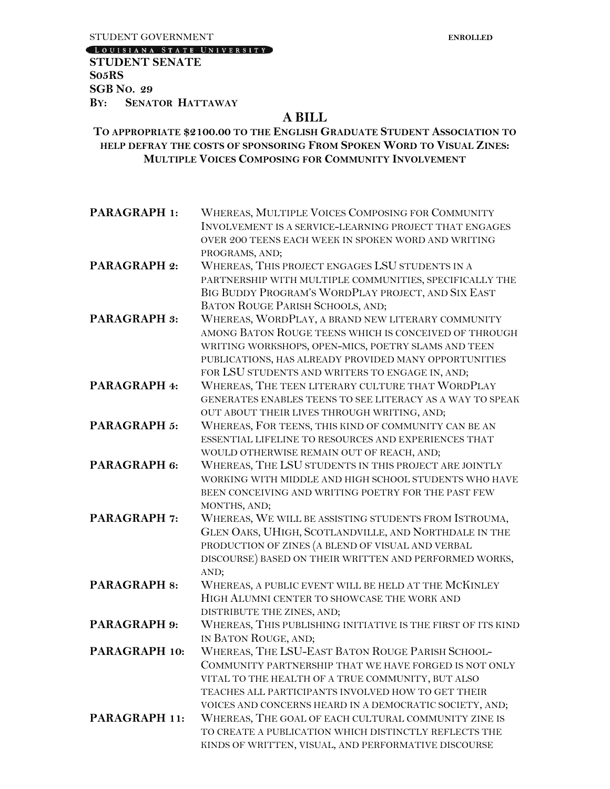[LOUISIANA STATE UNIVERSITY]

**STUDENT SENATE S05RS SGB NO. 29 BY: SENATOR HATTAWAY**

### **A BILL**

#### **TO APPROPRIATE \$2100.00 TO THE ENGLISH GRADUATE STUDENT ASSOCIATION TO HELP DEFRAY THE COSTS OF SPONSORING FROM SPOKEN WORD TO VISUAL ZINES: MULTIPLE VOICES COMPOSING FOR COMMUNITY INVOLVEMENT**

| PARAGRAPH 1:        | WHEREAS, MULTIPLE VOICES COMPOSING FOR COMMUNITY<br>INVOLVEMENT IS A SERVICE-LEARNING PROJECT THAT ENGAGES<br>OVER 200 TEENS EACH WEEK IN SPOKEN WORD AND WRITING |
|---------------------|-------------------------------------------------------------------------------------------------------------------------------------------------------------------|
|                     | PROGRAMS, AND;                                                                                                                                                    |
| PARAGRAPH 2:        | WHEREAS, THIS PROJECT ENGAGES LSU STUDENTS IN A                                                                                                                   |
|                     | PARTNERSHIP WITH MULTIPLE COMMUNITIES, SPECIFICALLY THE                                                                                                           |
|                     | BIG BUDDY PROGRAM'S WORDPLAY PROJECT, AND SIX EAST                                                                                                                |
|                     | BATON ROUGE PARISH SCHOOLS, AND;                                                                                                                                  |
| <b>PARAGRAPH 3:</b> | WHEREAS, WORDPLAY, A BRAND NEW LITERARY COMMUNITY                                                                                                                 |
|                     | AMONG BATON ROUGE TEENS WHICH IS CONCEIVED OF THROUGH                                                                                                             |
|                     | WRITING WORKSHOPS, OPEN-MICS, POETRY SLAMS AND TEEN                                                                                                               |
|                     | PUBLICATIONS, HAS ALREADY PROVIDED MANY OPPORTUNITIES                                                                                                             |
|                     | FOR LSU STUDENTS AND WRITERS TO ENGAGE IN, AND;                                                                                                                   |
| PARAGRAPH 4:        | WHEREAS, THE TEEN LITERARY CULTURE THAT WORDPLAY                                                                                                                  |
|                     | GENERATES ENABLES TEENS TO SEE LITERACY AS A WAY TO SPEAK                                                                                                         |
|                     | OUT ABOUT THEIR LIVES THROUGH WRITING, AND;                                                                                                                       |
| <b>PARAGRAPH 5:</b> | WHEREAS, FOR TEENS, THIS KIND OF COMMUNITY CAN BE AN                                                                                                              |
|                     | ESSENTIAL LIFELINE TO RESOURCES AND EXPERIENCES THAT                                                                                                              |
|                     | WOULD OTHERWISE REMAIN OUT OF REACH, AND;                                                                                                                         |
| PARAGRAPH 6:        | WHEREAS, THE LSU STUDENTS IN THIS PROJECT ARE JOINTLY                                                                                                             |
|                     | WORKING WITH MIDDLE AND HIGH SCHOOL STUDENTS WHO HAVE                                                                                                             |
|                     | BEEN CONCEIVING AND WRITING POETRY FOR THE PAST FEW                                                                                                               |
|                     | MONTHS, AND;                                                                                                                                                      |
| PARAGRAPH 7:        | WHEREAS, WE WILL BE ASSISTING STUDENTS FROM ISTROUMA,                                                                                                             |
|                     | GLEN OAKS, UHIGH, SCOTLANDVILLE, AND NORTHDALE IN THE                                                                                                             |
|                     | PRODUCTION OF ZINES (A BLEND OF VISUAL AND VERBAL                                                                                                                 |
|                     | DISCOURSE) BASED ON THEIR WRITTEN AND PERFORMED WORKS,                                                                                                            |
|                     | AND;                                                                                                                                                              |
| <b>PARAGRAPH 8:</b> | WHEREAS, A PUBLIC EVENT WILL BE HELD AT THE MCKINLEY                                                                                                              |
|                     | HIGH ALUMNI CENTER TO SHOWCASE THE WORK AND                                                                                                                       |
|                     | DISTRIBUTE THE ZINES, AND;                                                                                                                                        |
| PARAGRAPH 9:        | WHEREAS, THIS PUBLISHING INITIATIVE IS THE FIRST OF ITS KIND                                                                                                      |
|                     | IN BATON ROUGE, AND;                                                                                                                                              |
| PARAGRAPH 10:       | WHEREAS, THE LSU-EAST BATON ROUGE PARISH SCHOOL-                                                                                                                  |
|                     | COMMUNITY PARTNERSHIP THAT WE HAVE FORGED IS NOT ONLY                                                                                                             |
|                     | VITAL TO THE HEALTH OF A TRUE COMMUNITY, BUT ALSO                                                                                                                 |
|                     | TEACHES ALL PARTICIPANTS INVOLVED HOW TO GET THEIR                                                                                                                |

VOICES AND CONCERNS HEARD IN A DEMOCRATIC SOCIETY, AND; **PARAGRAPH 11:** WHEREAS, THE GOAL OF EACH CULTURAL COMMUNITY ZINE IS TO CREATE A PUBLICATION WHICH DISTINCTLY REFLECTS THE KINDS OF WRITTEN, VISUAL, AND PERFORMATIVE DISCOURSE